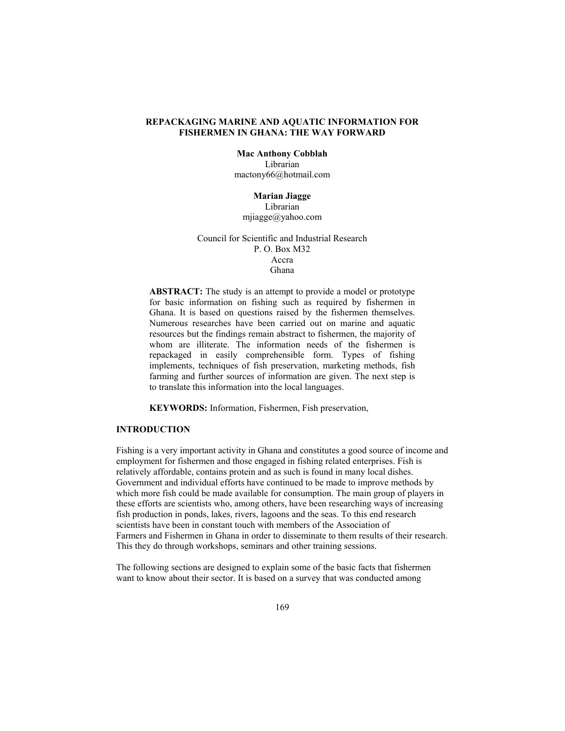# **REPACKAGING MARINE AND AQUATIC INFORMATION FOR FISHERMEN IN GHANA: THE WAY FORWARD**

**Mac Anthony Cobblah**  Librarian mactony66@hotmail.com

**Marian Jiagge**  Librarian mjiagge@yahoo.com

Council for Scientific and Industrial Research P. O. Box M32 Accra Ghana

**ABSTRACT:** The study is an attempt to provide a model or prototype for basic information on fishing such as required by fishermen in Ghana. It is based on questions raised by the fishermen themselves. Numerous researches have been carried out on marine and aquatic resources but the findings remain abstract to fishermen, the majority of whom are illiterate. The information needs of the fishermen is repackaged in easily comprehensible form. Types of fishing implements, techniques of fish preservation, marketing methods, fish farming and further sources of information are given. The next step is to translate this information into the local languages.

**KEYWORDS:** Information, Fishermen, Fish preservation,

# **INTRODUCTION**

Fishing is a very important activity in Ghana and constitutes a good source of income and employment for fishermen and those engaged in fishing related enterprises. Fish is relatively affordable, contains protein and as such is found in many local dishes. Government and individual efforts have continued to be made to improve methods by which more fish could be made available for consumption. The main group of players in these efforts are scientists who, among others, have been researching ways of increasing fish production in ponds, lakes, rivers, lagoons and the seas. To this end research scientists have been in constant touch with members of the Association of Farmers and Fishermen in Ghana in order to disseminate to them results of their research. This they do through workshops, seminars and other training sessions.

The following sections are designed to explain some of the basic facts that fishermen want to know about their sector. It is based on a survey that was conducted among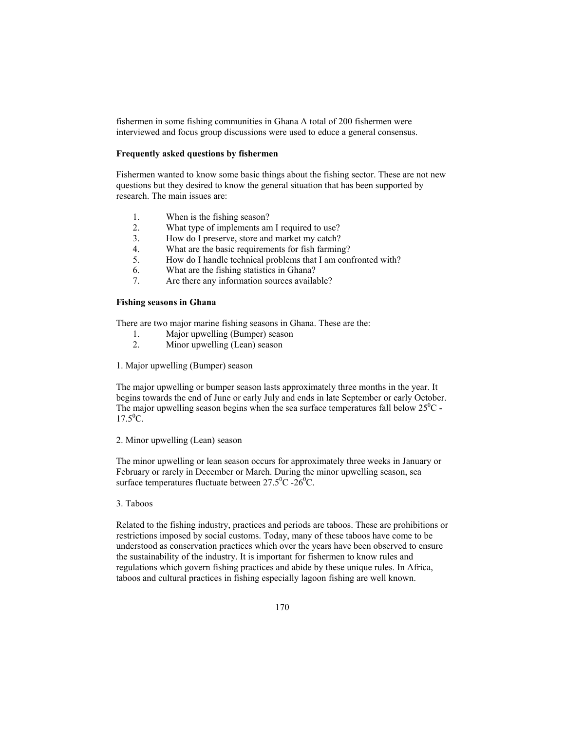fishermen in some fishing communities in Ghana A total of 200 fishermen were interviewed and focus group discussions were used to educe a general consensus.

### **Frequently asked questions by fishermen**

Fishermen wanted to know some basic things about the fishing sector. These are not new questions but they desired to know the general situation that has been supported by research. The main issues are:

- 1. When is the fishing season?
- 2. What type of implements am I required to use?<br>3. How do I preserve, store and market my catch?
- How do I preserve, store and market my catch?
- 4. What are the basic requirements for fish farming?
- 5. How do I handle technical problems that I am confronted with?
- 6. What are the fishing statistics in Ghana?
- 7. Are there any information sources available?

# **Fishing seasons in Ghana**

There are two major marine fishing seasons in Ghana. These are the:

- 1. Major upwelling (Bumper) season
- 2. Minor upwelling (Lean) season

1. Major upwelling (Bumper) season

The major upwelling or bumper season lasts approximately three months in the year. It begins towards the end of June or early July and ends in late September or early October. The major upwelling season begins when the sea surface temperatures fall below  $25^{\circ}$ C - $17.5^0C$ .

# 2. Minor upwelling (Lean) season

The minor upwelling or lean season occurs for approximately three weeks in January or February or rarely in December or March. During the minor upwelling season, sea surface temperatures fluctuate between  $27.5^{\circ}$ C - $26^{\circ}$ C.

#### 3. Taboos

Related to the fishing industry, practices and periods are taboos. These are prohibitions or restrictions imposed by social customs. Today, many of these taboos have come to be understood as conservation practices which over the years have been observed to ensure the sustainability of the industry. It is important for fishermen to know rules and regulations which govern fishing practices and abide by these unique rules. In Africa, taboos and cultural practices in fishing especially lagoon fishing are well known.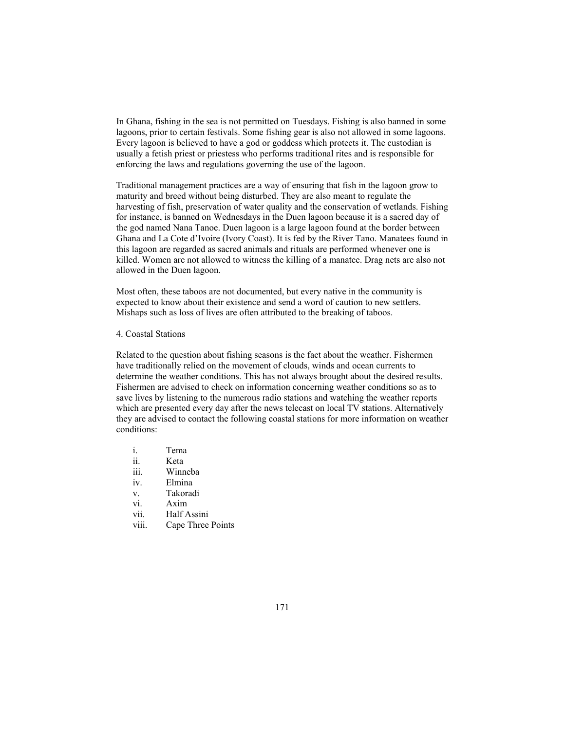In Ghana, fishing in the sea is not permitted on Tuesdays. Fishing is also banned in some lagoons, prior to certain festivals. Some fishing gear is also not allowed in some lagoons. Every lagoon is believed to have a god or goddess which protects it. The custodian is usually a fetish priest or priestess who performs traditional rites and is responsible for enforcing the laws and regulations governing the use of the lagoon.

Traditional management practices are a way of ensuring that fish in the lagoon grow to maturity and breed without being disturbed. They are also meant to regulate the harvesting of fish, preservation of water quality and the conservation of wetlands. Fishing for instance, is banned on Wednesdays in the Duen lagoon because it is a sacred day of the god named Nana Tanoe. Duen lagoon is a large lagoon found at the border between Ghana and La Cote d'Ivoire (Ivory Coast). It is fed by the River Tano. Manatees found in this lagoon are regarded as sacred animals and rituals are performed whenever one is killed. Women are not allowed to witness the killing of a manatee. Drag nets are also not allowed in the Duen lagoon.

Most often, these taboos are not documented, but every native in the community is expected to know about their existence and send a word of caution to new settlers. Mishaps such as loss of lives are often attributed to the breaking of taboos.

# 4. Coastal Stations

Related to the question about fishing seasons is the fact about the weather. Fishermen have traditionally relied on the movement of clouds, winds and ocean currents to determine the weather conditions. This has not always brought about the desired results. Fishermen are advised to check on information concerning weather conditions so as to save lives by listening to the numerous radio stations and watching the weather reports which are presented every day after the news telecast on local TV stations. Alternatively they are advised to contact the following coastal stations for more information on weather conditions:

- i. Tema ii. Keta iii. Winneba iv. Elmina v. Takoradi vi. Axim vii. Half Assini
- viii. Cape Three Points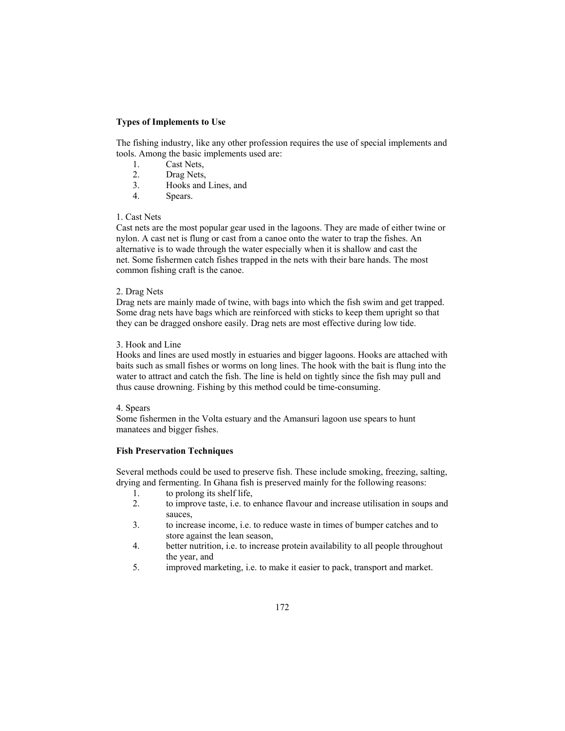# **Types of Implements to Use**

The fishing industry, like any other profession requires the use of special implements and tools. Among the basic implements used are:

- 1. Cast Nets,<br>2. Drag Nets.
- Drag Nets,
- 3. Hooks and Lines, and
- 4. Spears.

## 1. Cast Nets

Cast nets are the most popular gear used in the lagoons. They are made of either twine or nylon. A cast net is flung or cast from a canoe onto the water to trap the fishes. An alternative is to wade through the water especially when it is shallow and cast the net. Some fishermen catch fishes trapped in the nets with their bare hands. The most common fishing craft is the canoe.

## 2. Drag Nets

Drag nets are mainly made of twine, with bags into which the fish swim and get trapped. Some drag nets have bags which are reinforced with sticks to keep them upright so that they can be dragged onshore easily. Drag nets are most effective during low tide.

# 3. Hook and Line

Hooks and lines are used mostly in estuaries and bigger lagoons. Hooks are attached with baits such as small fishes or worms on long lines. The hook with the bait is flung into the water to attract and catch the fish. The line is held on tightly since the fish may pull and thus cause drowning. Fishing by this method could be time-consuming.

## 4. Spears

Some fishermen in the Volta estuary and the Amansuri lagoon use spears to hunt manatees and bigger fishes.

# **Fish Preservation Techniques**

Several methods could be used to preserve fish. These include smoking, freezing, salting, drying and fermenting. In Ghana fish is preserved mainly for the following reasons:

- 1. to prolong its shelf life,
- 2. to improve taste, i.e. to enhance flavour and increase utilisation in soups and sauces,
- 3. to increase income, i.e. to reduce waste in times of bumper catches and to store against the lean season,
- 4. better nutrition, i.e. to increase protein availability to all people throughout the year, and
- 5. improved marketing, i.e. to make it easier to pack, transport and market.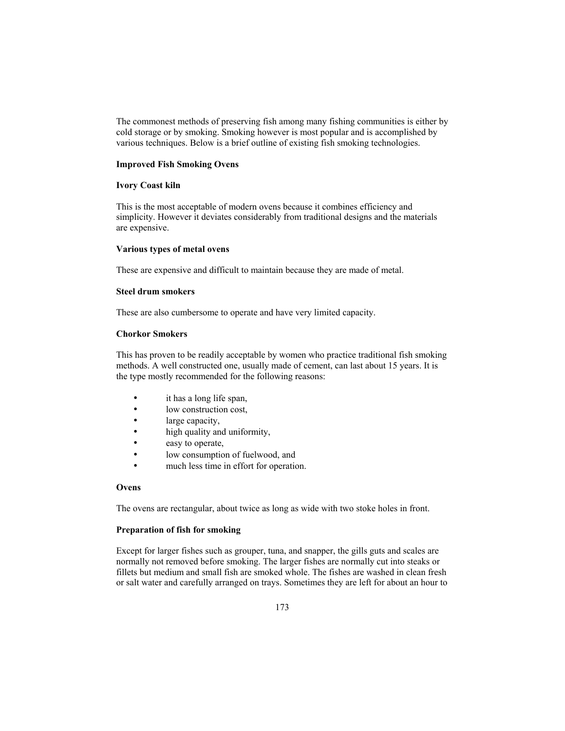The commonest methods of preserving fish among many fishing communities is either by cold storage or by smoking. Smoking however is most popular and is accomplished by various techniques. Below is a brief outline of existing fish smoking technologies.

#### **Improved Fish Smoking Ovens**

## **Ivory Coast kiln**

This is the most acceptable of modern ovens because it combines efficiency and simplicity. However it deviates considerably from traditional designs and the materials are expensive.

# **Various types of metal ovens**

These are expensive and difficult to maintain because they are made of metal.

#### **Steel drum smokers**

These are also cumbersome to operate and have very limited capacity.

## **Chorkor Smokers**

This has proven to be readily acceptable by women who practice traditional fish smoking methods. A well constructed one, usually made of cement, can last about 15 years. It is the type mostly recommended for the following reasons:

- it has a long life span,
- low construction cost,
- large capacity,
- high quality and uniformity,
- easy to operate,
- low consumption of fuelwood, and
- much less time in effort for operation.

# **Ovens**

The ovens are rectangular, about twice as long as wide with two stoke holes in front.

### **Preparation of fish for smoking**

Except for larger fishes such as grouper, tuna, and snapper, the gills guts and scales are normally not removed before smoking. The larger fishes are normally cut into steaks or fillets but medium and small fish are smoked whole. The fishes are washed in clean fresh or salt water and carefully arranged on trays. Sometimes they are left for about an hour to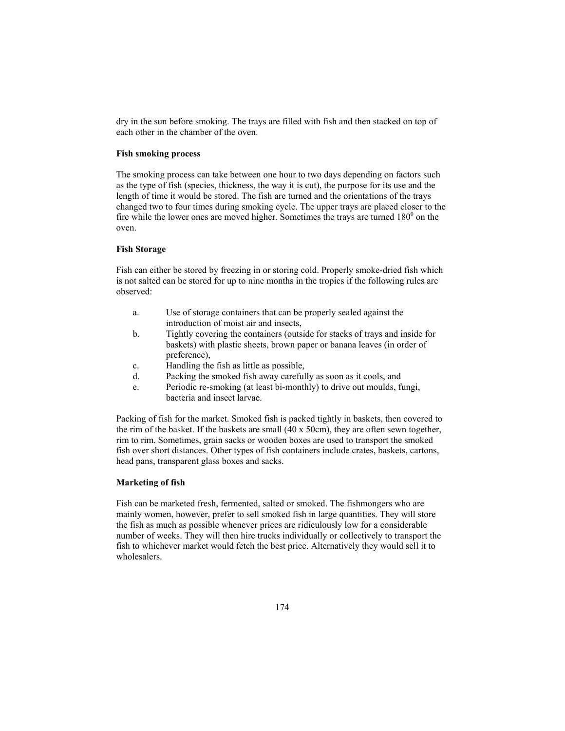dry in the sun before smoking. The trays are filled with fish and then stacked on top of each other in the chamber of the oven.

### **Fish smoking process**

The smoking process can take between one hour to two days depending on factors such as the type of fish (species, thickness, the way it is cut), the purpose for its use and the length of time it would be stored. The fish are turned and the orientations of the trays changed two to four times during smoking cycle. The upper trays are placed closer to the fire while the lower ones are moved higher. Sometimes the trays are turned  $180<sup>0</sup>$  on the oven.

# **Fish Storage**

Fish can either be stored by freezing in or storing cold. Properly smoke-dried fish which is not salted can be stored for up to nine months in the tropics if the following rules are observed:

- a. Use of storage containers that can be properly sealed against the introduction of moist air and insects,
- b. Tightly covering the containers (outside for stacks of trays and inside for baskets) with plastic sheets, brown paper or banana leaves (in order of preference),
- c. Handling the fish as little as possible,
- d. Packing the smoked fish away carefully as soon as it cools, and
- e. Periodic re-smoking (at least bi-monthly) to drive out moulds, fungi, bacteria and insect larvae.

Packing of fish for the market. Smoked fish is packed tightly in baskets, then covered to the rim of the basket. If the baskets are small (40 x 50cm), they are often sewn together, rim to rim. Sometimes, grain sacks or wooden boxes are used to transport the smoked fish over short distances. Other types of fish containers include crates, baskets, cartons, head pans, transparent glass boxes and sacks.

# **Marketing of fish**

Fish can be marketed fresh, fermented, salted or smoked. The fishmongers who are mainly women, however, prefer to sell smoked fish in large quantities. They will store the fish as much as possible whenever prices are ridiculously low for a considerable number of weeks. They will then hire trucks individually or collectively to transport the fish to whichever market would fetch the best price. Alternatively they would sell it to wholesalers.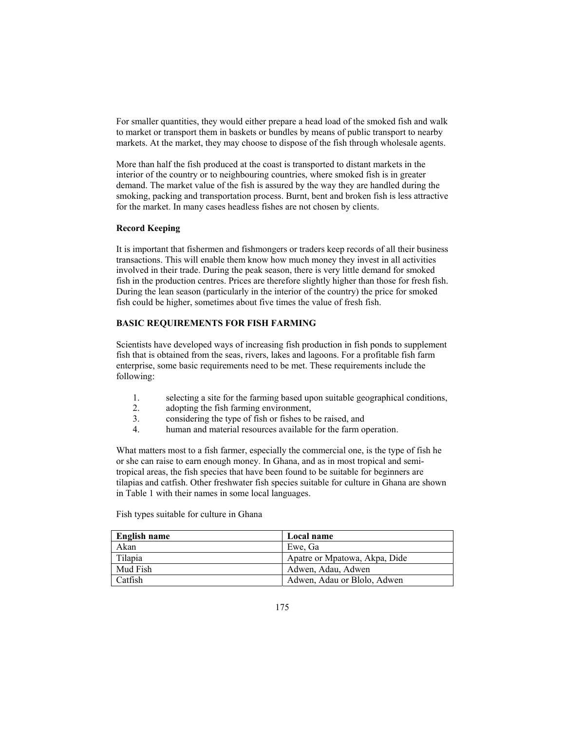For smaller quantities, they would either prepare a head load of the smoked fish and walk to market or transport them in baskets or bundles by means of public transport to nearby markets. At the market, they may choose to dispose of the fish through wholesale agents.

More than half the fish produced at the coast is transported to distant markets in the interior of the country or to neighbouring countries, where smoked fish is in greater demand. The market value of the fish is assured by the way they are handled during the smoking, packing and transportation process. Burnt, bent and broken fish is less attractive for the market. In many cases headless fishes are not chosen by clients.

# **Record Keeping**

It is important that fishermen and fishmongers or traders keep records of all their business transactions. This will enable them know how much money they invest in all activities involved in their trade. During the peak season, there is very little demand for smoked fish in the production centres. Prices are therefore slightly higher than those for fresh fish. During the lean season (particularly in the interior of the country) the price for smoked fish could be higher, sometimes about five times the value of fresh fish.

### **BASIC REQUIREMENTS FOR FISH FARMING**

Scientists have developed ways of increasing fish production in fish ponds to supplement fish that is obtained from the seas, rivers, lakes and lagoons. For a profitable fish farm enterprise, some basic requirements need to be met. These requirements include the following:

- 1. selecting a site for the farming based upon suitable geographical conditions,
- 2. adopting the fish farming environment,
- 3. considering the type of fish or fishes to be raised, and
- 4. human and material resources available for the farm operation.

What matters most to a fish farmer, especially the commercial one, is the type of fish he or she can raise to earn enough money. In Ghana, and as in most tropical and semitropical areas, the fish species that have been found to be suitable for beginners are tilapias and catfish. Other freshwater fish species suitable for culture in Ghana are shown in Table 1 with their names in some local languages.

Fish types suitable for culture in Ghana

| English name | Local name                    |
|--------------|-------------------------------|
| Akan         | Ewe, Ga                       |
| Tilapia      | Apatre or Mpatowa, Akpa, Dide |
| Mud Fish     | Adwen, Adau, Adwen            |
| Catfish      | Adwen, Adau or Blolo, Adwen   |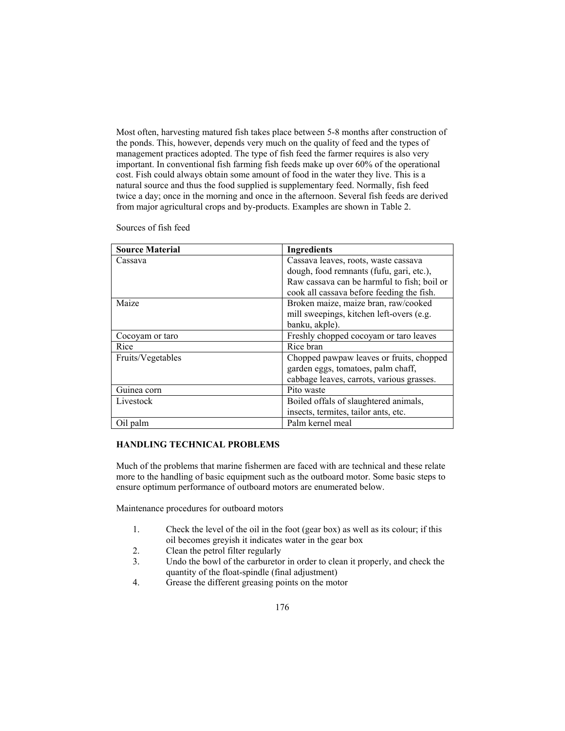Most often, harvesting matured fish takes place between 5-8 months after construction of the ponds. This, however, depends very much on the quality of feed and the types of management practices adopted. The type of fish feed the farmer requires is also very important. In conventional fish farming fish feeds make up over 60% of the operational cost. Fish could always obtain some amount of food in the water they live. This is a natural source and thus the food supplied is supplementary feed. Normally, fish feed twice a day; once in the morning and once in the afternoon. Several fish feeds are derived from major agricultural crops and by-products. Examples are shown in Table 2.

Sources of fish feed

| <b>Source Material</b> | <b>Ingredients</b>                          |
|------------------------|---------------------------------------------|
| Cassava                | Cassava leaves, roots, waste cassava        |
|                        | dough, food remnants (fufu, gari, etc.),    |
|                        | Raw cassava can be harmful to fish; boil or |
|                        | cook all cassava before feeding the fish.   |
| Maize                  | Broken maize, maize bran, raw/cooked        |
|                        | mill sweepings, kitchen left-overs (e.g.    |
|                        | banku, akple).                              |
| Cocoyam or taro        | Freshly chopped cocoyam or taro leaves      |
| Rice                   | Rice bran                                   |
| Fruits/Vegetables      | Chopped pawpaw leaves or fruits, chopped    |
|                        | garden eggs, tomatoes, palm chaff,          |
|                        | cabbage leaves, carrots, various grasses.   |
| Guinea corn            | Pito waste                                  |
| Livestock              | Boiled offals of slaughtered animals,       |
|                        | insects, termites, tailor ants, etc.        |
| Oil palm               | Palm kernel meal                            |

# **HANDLING TECHNICAL PROBLEMS**

Much of the problems that marine fishermen are faced with are technical and these relate more to the handling of basic equipment such as the outboard motor. Some basic steps to ensure optimum performance of outboard motors are enumerated below.

Maintenance procedures for outboard motors

- 1. Check the level of the oil in the foot (gear box) as well as its colour; if this oil becomes greyish it indicates water in the gear box
- 2. Clean the petrol filter regularly
- 3. Undo the bowl of the carburetor in order to clean it properly, and check the quantity of the float-spindle (final adjustment)
- 4. Grease the different greasing points on the motor